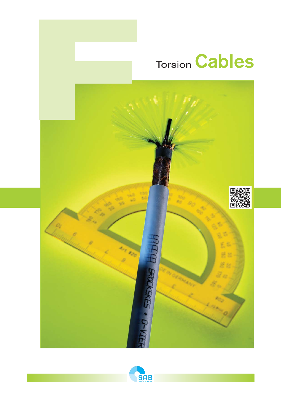# **Torsion Cables**



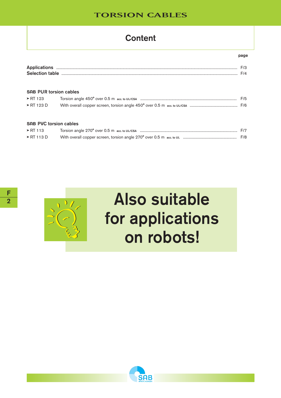# **Content**

| Annlica<br>. .   |  |
|------------------|--|
| Selectic<br>____ |  |

#### **SAB PUR torsion cables**

| $\triangleright$ RT 123   | F/5 |
|---------------------------|-----|
| $\triangleright$ RT 123 D |     |

#### **SAB PVC torsion cables**

| $\triangleright$ RT 113   |  |
|---------------------------|--|
| $\triangleright$ RT 113 D |  |



# **Also suitable** for applications on robots!

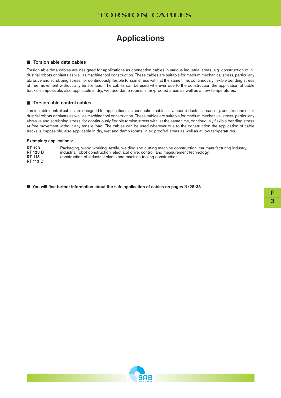# Applications

#### $\blacksquare$  Torsion able data cables

Torsion able data cables are designed for applications as connection cables in various industrial areas, e.g. construction of industrial robots or plants as well as machine tool construction. These cables are suitable for medium mechanical stress, particularly abrasive and scrubbing stress, for continuously flexible torsion stress with, at the same time, continuously flexible bending stress at free movement without any tensile load. The cables can be used wherever due to the construction the application of cable tracks is impossible, also applicable in dry, wet and damp rooms, in ex-proofed areas as well as at low temperatures.

#### $\blacksquare$  Torsion able control cables

Torsion able control cables are designed for applications as connection cables in various industrial areas, e.g. construction of industrial robots or plants as well as machine tool construction. These cables are suitable for medium mechanical stress, particularly abrasive and scrubbing stress, for continuously flexible torsion stress with, at the same time, continuously flexible bending stress at free movement without any tensile load. The cables can be used wherever due to the construction the application of cable tracks is impossible, also applicable in dry, wet and damp rooms, in ex-proofed areas as well as at low temperatures.

#### Exemplary applications:

| <b>RT 123</b>   | Packaging, wood working, textile, welding and cutting machine construction, car manufacturing industry, |
|-----------------|---------------------------------------------------------------------------------------------------------|
| <b>RT 123 D</b> | industrial robot construction, electrical drive, control, and measurement technology,                   |
| <b>RT 113</b>   | construction of industrial plants and machine tooling construction                                      |
| <b>RT 113 D</b> |                                                                                                         |

■ You will find further information about the safe application of cables on pages N/28-38

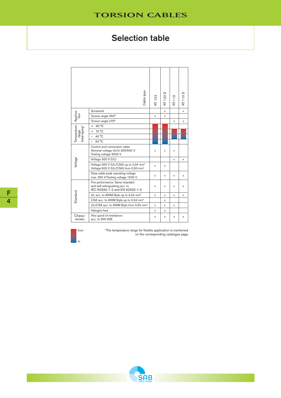# Selection table

|                                       | Cable type                                                                                            | RT 123 | RT 123 D | RT 113 | RT 113 D |
|---------------------------------------|-------------------------------------------------------------------------------------------------------|--------|----------|--------|----------|
|                                       | Screened                                                                                              |        | x        |        | x        |
| Applica-<br>tion                      | Torsion angle 450°                                                                                    | x      | x        |        |          |
|                                       | Torsion angle 270°                                                                                    |        |          | x      | X        |
| Temperature<br>range<br>fixed laying* | 90 °C<br>$\ddot{}$                                                                                    |        |          |        |          |
|                                       | 70 °C<br>$+$                                                                                          |        |          |        |          |
|                                       | 40 °C<br>$\overline{\phantom{0}}$                                                                     |        |          |        |          |
|                                       | 50 °C                                                                                                 |        |          |        |          |
|                                       | Control and connection cable<br>Nominal voltage Uo/U 300/500 V<br>Testing voltage 3000 V              | x      | χ        | X      |          |
|                                       | Voltage 300 V (UL)                                                                                    |        |          | X      | x        |
| Voltage                               | Voltage 300 V (UL/CSA) up to 0,34 mm <sup>2</sup><br>Voltage 600 V (UL/CSA) from 0,50 mm <sup>2</sup> | X      | x        |        |          |
|                                       | Data cable peak operating voltage<br>max. 350 V/Testing voltage 1500 V                                | x      | x        | X      | x        |
|                                       | Fire performance: flame retardant<br>and self-extinguishing acc. to<br>IEC 60332-1-2 and EN 60332-1-2 | x      | x        | x      | x        |
|                                       | UL acc. to AWM Style up to 0,34 mm <sup>2</sup>                                                       | x      | x        | X      | x        |
| Standard                              | CSA acc. to AWM Style up to 0,34 mm <sup>2</sup>                                                      |        | x        |        |          |
|                                       | UL/CSA acc. to AWM Style from 0,50 mm <sup>2</sup>                                                    | x      | x        | x      |          |
|                                       | Halogen-free                                                                                          | X      | x        |        |          |
| Charac-<br>teristic                   | Very good oil resistance<br>acc. to DIN VDE                                                           | x      | x        | X      | x        |



\*The temperature range for flexible application is mentioned on the corresponding catalogue page

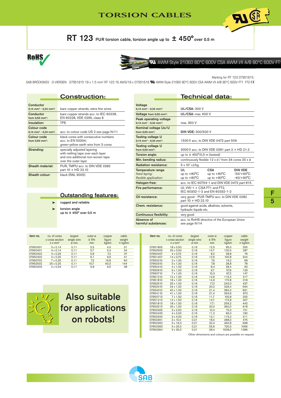RT 123 PUR torsion cable, torsion angle up to  $\pm 450^{\circ}$  over 0.5 m





## **TA** AWM Style 21060 80°C 600V CSA AWM I/II A/B 80°C 600V FT

Marking for RT 123 07951815:

**AI CE** 

SAB BRÖCKSKES · D-VIERSEN · 07951815 18 x 1.5 mm<sup>2</sup> RT 123 16 AWG/18 c 07951618 **SL** AWM Style 21060 80°C 600V CSA AWM I/II A/B 80°C 600V FT1 FT2 CC

#### Construction: Conductor<br> $0,14$  mm<sup>2</sup> -  $0,34$  mm<sup>2</sup>: bare copper strands, extra fine wires Conductor bare copper strands acc. to IEC 60228, from 0,50 mm2: EN 60228, VDE 0295, class 6 Insulation: TPE Colour code 0,14 mm<sup>2</sup> - 0,34 mm<sup>2</sup>: acc. to colour code US 2 see page N/11 Colour code black cores with consecutive numbers<br>from 0,50 mm<sup>2</sup>: acc. to EN 50334; acc. to EN 50334; green-yellow earth wire from 3 cores Stranding: specially adjusted layering with netting tape over each layer and one additional non-woven tape over the outer layer Sheath material: PUR, TMPU acc. to DIN VDE 0282 part 10 + HD 22.10 Sheath colour: black (RAL 9005)

 ‰ rugged and reliable  $\leftarrow$  torsion angle

up to ± 450° over 0,5 m

|                                                                           | Technical data:                                                    |                                                              |                                               |  |
|---------------------------------------------------------------------------|--------------------------------------------------------------------|--------------------------------------------------------------|-----------------------------------------------|--|
| Voltage                                                                   |                                                                    |                                                              |                                               |  |
| $0,14$ mm <sup>2</sup> - 0,34 mm <sup>2</sup> :                           | <b>UL/CSA: 300 V</b>                                               |                                                              |                                               |  |
| Voltage from 0,50 mm <sup>2</sup> :                                       | <b>UL/CSA: max. 600 V</b>                                          |                                                              |                                               |  |
| Peak operating voltage<br>$0.14$ mm <sup>2</sup> - 0.34 mm <sup>2</sup> : | max. 350 V                                                         |                                                              |                                               |  |
| Nominal voltage Uo/U<br>from $0.50$ mm <sup>2</sup> :                     | <b>DIN VDE: 300/500 V</b>                                          |                                                              |                                               |  |
| Testing voltage U<br>$0.14$ mm <sup>2</sup> - 0.34 mm <sup>2</sup> :      | 1500 V acc. to DIN VDE 0472 part 509                               |                                                              |                                               |  |
| Testing voltage U<br>from 0,50 mm <sup>2</sup> :                          | 3000 V acc. to DIN VDE 0281 part 2 + HD 21.2                       |                                                              |                                               |  |
| Torsion angle:                                                            | up to $\pm$ 450 $^{\circ}$ /0,5 m (tested)                         |                                                              |                                               |  |
| Min. bending radius:                                                      |                                                                    | continuously flexible 12 x d / from 34 cores 20 x d          |                                               |  |
| <b>Radiation resistance:</b>                                              | $5 \times 10^7$ cJ/kg                                              |                                                              |                                               |  |
| Temperature range<br>fixed laying:<br>flexible application:               | Ш.<br>up to $+80^{\circ}$ C<br>up to $+80^{\circ}$ C               | <b>CSA</b><br>up to $+80^{\circ}$ C<br>up to $+80^{\circ}$ C | DIN VDE<br>$-50/+90^{\circ}$ C<br>$-40/+90°C$ |  |
| Halogen-free:                                                             |                                                                    | acc. to IEC 60754-1 and DIN VDE 0472 part 815                |                                               |  |
| Fire performance:                                                         |                                                                    | UL VW-1 + CSA FT1 and FT2.<br>IFC 60332-1-2 and FN 60332-1-2 |                                               |  |
| Oil resistance:                                                           | very good - PUR TMPU acc. to DIN VDE 0282<br>part 10 + HD 22.10    |                                                              |                                               |  |
| Chem. resistance:                                                         | good against acids, alkalines, solvents,<br>hydraulic liquids etc. |                                                              |                                               |  |
| <b>Continuous flexibility:</b>                                            | very good                                                          |                                                              |                                               |  |
| Absence of<br>harmful substances:                                         | acc. to RoHS directive of the European Union<br>see page N/14      |                                                              |                                               |  |

#### item no. no. of cores largest outer-ø copper cable<br>x cross section single wire  $\pm 5\%$  figure weight x cross section single wire  $\frac{1}{2}$  5% figure<br>n x mm<sup>2</sup> ø mm mm kg/km n x mm2 ø mm mm kg/km ≈ kg/km 07950301 3 x 0,14 0,11 5,5 4,0 31<br>07950401 4 x 0.14 0.11 5,7 5,4 34  $4 \times 0,14$  $\begin{array}{ccccccccc} 07950302 & & 3 \times 0,25 & & 0,11 & & 5,8 & & 7,2 & & 37 \\ 07950402 & & 4 \times 0,25 & & 0,11 & & 6,1 & & 9,6 & & 41 \\ 07950702 & & 7 \times 0,25 & & 0,11 & & 7,2 & & 16,8 & & 60 \end{array}$  $\frac{1}{4 \times 0.25}$  0,11 6,1 9,6 41<br>  $\frac{1}{7 \times 0.25}$  0,11 6,1 9,6 41<br>  $\frac{1}{7 \times 0.25}$  0,11 7,2 16,8 60 07950702 7 x 0,25 0,11 7,2 16,8 60 07952502 25 x 0,25 0,11 10,7 60,0 144<br>07950203 2 x 0,34 0,11 5,8 6,5 38

Outstanding features:



Also suitable for applications on robots!

SAB

| item no. | no. of cores<br>x cross section<br>$n \times mm2$ | largest<br>single wire<br>ø mm | outer-ø<br>± 5%<br>mm | copper<br>figure<br>kg/km | cable<br>weight<br>$\approx$ kg/km |
|----------|---------------------------------------------------|--------------------------------|-----------------------|---------------------------|------------------------------------|
| 07951805 | 18 x 0,50                                         | 0, 16                          | 12,5                  | 95.0                      | 205                                |
| 07952505 | 25 x 0.50                                         | 0, 16                          | 14,7                  | 132,0                     | 287                                |
| 07950407 | 4 x 0.75                                          | 0.16                           | 8.0                   | 28.8                      | 79                                 |
| 07951407 | 14 x 0,75                                         | 0, 16                          | 12,6                  | 100,8                     | 204                                |
| 07950210 | $2 \times 1,00$                                   | 0, 16                          | 7,5                   | 19.2                      | 68                                 |
| 07950310 | $3 \times 1,00$                                   | 0, 16                          | 7,8                   | 28,8                      | 78                                 |
| 07950410 | 4 x 1,00                                          | 0, 16                          | 8,4                   | 38,4                      | 93                                 |
| 07950610 | 6 x 1,00                                          | 0, 16                          | 9,7                   | 57,6                      | 129                                |
| 07950710 | $7 \times 1,00$                                   | 0, 16                          | 10,3                  | 67.2                      | 147                                |
| 07951210 | 12 x 1,00                                         | 0, 16                          | 12,6                  | 115,2                     | 217                                |
| 07951810 | 18 x 1,00                                         | 0, 16                          | 14,9                  | 172,8                     | 318                                |
| 07952510 | 25 x 1,00                                         | 0, 16                          | 17,2                  | 240,0                     | 437                                |
| 07953410 | 34 x 1,00                                         | 0, 16                          | 20,0                  | 326,4                     | 564                                |
| 07954010 | 40 x 1,00                                         | 0, 16                          | 21,4                  | 384,0                     | 661                                |
| 07954110 | 41 x 1,00                                         | 0, 16                          | 21,4                  | 393,6                     | 673                                |
| 07950715 | $7 \times 1,50$                                   | 0, 16                          | 11,7                  | 100,8                     | 200                                |
| 07951215 | 12 x 1,50                                         | 0, 16                          | 14,7                  | 172,8                     | 307                                |
| 07951815 | 18 x 1,50                                         | 0, 16                          | 17,1                  | 259,2                     | 442                                |
| 07952515 | 25 x 1,50                                         | 0, 16                          | 20,0                  | 360,0                     | 618                                |
| 07950325 | $3 \times 2,50$                                   | 0, 16                          | 10,4                  | 72,0                      | 151                                |
| 07950425 | 4 x 2.50                                          | 0, 16                          | 11,2                  | 96.0                      | 182                                |
| 07950340 | $3 \times 4,00$                                   | 0, 16                          | 12,1                  | 115,2                     | 211                                |
| 07950361 | $3 \times 10,0$                                   | 0,21                           | 18,0                  | 288,0                     | 475                                |
| 07950362 | $3 \times 16,0$                                   | 0,21                           | 20,4                  | 460.8                     | 698                                |
| 07950363 | $3 \times 25,0$                                   | 0,21                           | 25,6                  | 720,0                     | 1066                               |
| 07950364 | $3 \times 35.0$                                   | 0,21                           | 28,4                  | 1008.0                    | 1386                               |
|          |                                                   | . .                            |                       |                           | $\cdots$                           |

Other dimensions and colours are possible on request.

F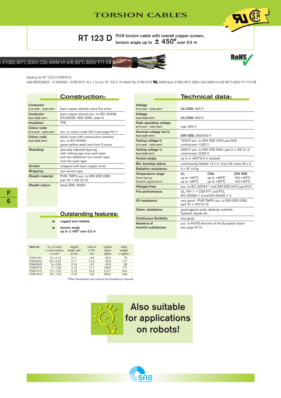**AI ®** 

RT 123 D  $^{PUR \text{ torsion cable with overall copper screen,}$  torsion angle up to  $\pm$  450° over 0.5 m

## $e$  21060 80°C 600V CSA AWM I/II A/B 80°C 600V FT1  $\zeta$



#### Marking for RT 123 D 07961815:

SAB BRÖCKSKES · D-VIERSEN · 07961815 18 x 1.5 mm<sup>2</sup> RT 123 D 16 AWG/18c 07961618 W AWM Style 21060 80°C 600V CSA AWM I/II A/B 80°C 600V FT1 FT2 C

## Construction:

| Conductor                                                      |                                                                                                                               |  |  |  |
|----------------------------------------------------------------|-------------------------------------------------------------------------------------------------------------------------------|--|--|--|
| $0,14$ mm <sup>2</sup> - 0,34 mm <sup>2</sup> :                | bare copper strands, extra fine wires                                                                                         |  |  |  |
| Conductor<br>from 0,50 mm <sup>2</sup> :                       | bare copper strands acc. to IEC 60228,<br>EN 60228, VDE 0295, class 6                                                         |  |  |  |
| Insulation:                                                    | TPE                                                                                                                           |  |  |  |
| Colour code<br>$0,14$ mm <sup>2</sup> - 0,34 mm <sup>2</sup> : | acc. to colour code US 2 see page N/11                                                                                        |  |  |  |
| Colour code<br>from $0.50$ mm <sup>2</sup> :                   | black cores with consecutive numbers<br>acc. to EN 50334;<br>green-yellow earth wire from 3 cores                             |  |  |  |
| Stranding:                                                     | specially adjusted layering<br>with netting tape over each layer<br>and one additional non-woven tape<br>over the outer layer |  |  |  |
| Screen:                                                        | wrapped with bare copper wires                                                                                                |  |  |  |
| Wrapping:                                                      | non-woven tape                                                                                                                |  |  |  |
| Sheath material:                                               | PUR, TMPU acc. to DIN VDE 0282<br>part 10 + HD 22.10                                                                          |  |  |  |
| Sheath colour:                                                 | black (RAL 9005)                                                                                                              |  |  |  |

|                                                                             | <b>Technical data:</b>                                              |                                                              |                                              |  |
|-----------------------------------------------------------------------------|---------------------------------------------------------------------|--------------------------------------------------------------|----------------------------------------------|--|
| <b>Voltage</b><br>$0,14$ mm <sup>2</sup> - 0,34 mm <sup>2</sup> :           | <b>UL/CSA: 300 V</b>                                                |                                                              |                                              |  |
| Voltage<br>from 0.50 mm <sup>2</sup> :                                      | <b>UL/CSA: 600 V</b>                                                |                                                              |                                              |  |
| Peak operating voltage<br>0.14 mm <sup>2</sup> - 0.34 mm <sup>2</sup> :     | max. 350 V                                                          |                                                              |                                              |  |
| Nominal voltage Uo/U<br>from 0.50 mm <sup>2</sup> :                         | <b>DIN VDE: 300/500 V</b>                                           |                                                              |                                              |  |
| <b>Testing voltage U</b><br>$0,14$ mm <sup>2</sup> - 0,34 mm <sup>2</sup> : | 1500 V acc. to DIN VDE 0472 part 509<br>core/screen 1200 V          |                                                              |                                              |  |
| Testing voltage U<br>from 0.50 mm <sup>2</sup> :                            | 3000 V acc. to DIN VDE 0281 part 2 + HD 21.2,<br>core/screen 2000 V |                                                              |                                              |  |
| Torsion angle:                                                              | up to $\pm$ 450 $^{\circ}$ /0,5 m (tested)                          |                                                              |                                              |  |
| Min. bending radius:                                                        |                                                                     | continuously flexible 12 x d / from 34 cores 20 x d          |                                              |  |
| <b>Radiation resistance:</b>                                                | 5 x 107 cJ/kg                                                       |                                                              |                                              |  |
| Temperature range<br>fixed laying:<br>flexible application:                 | UL.<br>up to $+80^{\circ}$ C<br>up to $+80^{\circ}$ C               | <b>CSA</b><br>up to $+80^{\circ}$ C<br>up to $+80^{\circ}$ C | <b>DIN VDE</b><br>$-50/+90°C$<br>$-40/+90°C$ |  |
| Halogen-free:                                                               |                                                                     | acc. to IEC 60754-1 and DIN VDE 0472 part 815                |                                              |  |
| Fire performance:                                                           | UL VW-1 + CSA FT1 and FT2,                                          | IEC 60332-1-2 and EN 60332-1-2                               |                                              |  |
| Oil resistance:                                                             | very good - PUR TMPU acc. to DIN VDE 0282<br>part 10 + HD 22.10     |                                                              |                                              |  |
| Chem. resistance:                                                           | good against acids, alkalines, solvents,<br>hydraulic liquids etc.  |                                                              |                                              |  |
| <b>Continuous flexibility:</b>                                              | very good                                                           |                                                              |                                              |  |
| Absence of<br>harmful substances:                                           | acc. to RoHS directive of the European Union<br>see page N/14       |                                                              |                                              |  |

## Outstanding features:

- rugged and reliable
- **b** torsion angle<br> **to ± 450°** over 0,5 m<br> **up to ± 450°** over 0,5 m
	-

| item no. | no. of cores<br>x cross section<br>$n \times mm^2$ | largest<br>single wire<br>ø mm | outer-ø<br>± 5%<br>mm | copper<br>figure<br>kg/km | cable<br>weight<br>$\approx$ kg/km |
|----------|----------------------------------------------------|--------------------------------|-----------------------|---------------------------|------------------------------------|
| 07961201 | $12 \times 0.14$                                   | 0.11                           | 8.5                   | 30.2                      | 79                                 |
| 07962502 | 25 x 0.25                                          | 0.11                           | 11,3                  | 90.9                      | 171                                |
| 07960505 | $5 \times 0,50$                                    | 0.16                           | 8.7                   | 40.5                      | 95                                 |
| 07960710 | $7 \times 1,00$                                    | 0.16                           | 11.1                  | 108,5                     | 177                                |
| 07961215 | 12 x 1,50                                          | 0.16                           | 15.3                  | 214,7                     | 344                                |
| 07961815 | 18 x 1.50                                          | 0.16                           | 17.8                  | 326.0                     | 499                                |

Other dimensions and colours are possible on request.

 $\frac{1}{2} \sum_{i=1}^{n} \frac{1}{2} \sum_{j=1}^{n}$ 

Also suitable for applications on robots!

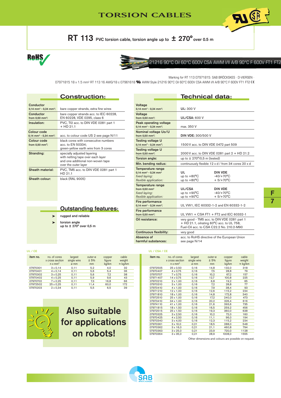RT 113 PVC torsion cable, torsion angle up to  $\pm$  270° over 0.5 m

Voltage

Voltage<br>from 0,50 mm<sup>2</sup>:



## 21216 90°C Oil 60°C 600V CSA AWM I/II A/B 90°C F 600V FT1 FT2

**AI CE** 

Marking for RT 113 07971815: SAB BRÖCKSKES · D-VIERSEN ·

Technical data:

**UL/CSA: 600 V** 

DIN VDE: 300/500 V

07971815 18 x 1.5 mm<sup>2</sup> RT 113 16 AWG/18 c 07961618 **SL** AWM Style 21216 90°C Oil 60°C 600V CSA AWM I/II A/B 90°C F 600V FT1 FT2 C

Peak operating voltage

Nominal voltage Uo/U<br>from 0,50 mm<sup>2</sup>:

SAB

0,14 mm<sup>2</sup> - 0,34 mm<sup>2</sup>: UL: 300 V

0,14 mm<sup>2</sup> - 0,34 mm<sup>2</sup>: max. 350 V

|                                                                       | <b>Construction:</b>                                                                                                          |
|-----------------------------------------------------------------------|-------------------------------------------------------------------------------------------------------------------------------|
| Conductor<br>$0,14$ mm <sup>2</sup> - 0,34 mm <sup>2</sup> :          | bare copper strands, extra fine wires                                                                                         |
| Conductor<br>from 0,50 mm <sup>2</sup> :                              | bare copper strands acc. to IEC 60228,<br>EN 60228, VDE 0295, class 6                                                         |
| Insulation:                                                           | PVC, TI2 acc. to DIN VDE 0281 part 1<br>$+$ HD 91.1                                                                           |
| <b>Colour code</b><br>$0,14$ mm <sup>2</sup> - 0,34 mm <sup>2</sup> : | acc. to colour code US 2 see page N/11                                                                                        |
| Colour code<br>from $0.50$ mm <sup>2</sup> :                          | black cores with consecutive numbers<br>acc. to EN 50334;<br>green-yellow earth wire from 3 cores                             |
| Stranding:                                                            | specially adjusted layering<br>with netting tape over each layer<br>and one additional non-woven tape<br>over the outer layer |
| Sheath material:                                                      | PVC, TM5 acc. to DIN VDE 0281 part 1<br>HD 91.1                                                                               |
| Sheath colour:                                                        | black (RAL 9005)                                                                                                              |

▶ rugged and reliable

 $\triangleright$  torsion angle<br>
up to  $\pm$  270° over 0,5 m

| black cores with consecutive numbers<br>acc. to EN 50334;           | <b>Testing voltage U</b><br>$0.14$ mm <sup>2</sup> - 0.34 mm <sup>2</sup> ;                | 1500 V acc. to DIN VDE 0472 part 509                                                                                                             |                                                     |  |
|---------------------------------------------------------------------|--------------------------------------------------------------------------------------------|--------------------------------------------------------------------------------------------------------------------------------------------------|-----------------------------------------------------|--|
| green-yellow earth wire from 3 cores<br>specially adjusted layering | <b>Testing voltage U</b><br>from 0.50 mm <sup>2</sup> :                                    | 2000 V acc. to DIN VDE 0281 part 2 + HD 21.2                                                                                                     |                                                     |  |
| with netting tape over each layer                                   | Torsion angle:                                                                             | up to $\pm$ 270 $\degree$ /0,5 m (tested)                                                                                                        |                                                     |  |
| and one additional non-woven tape<br>over the outer layer           | Min. bending radius:                                                                       | continuously flexible 12 x d / from 34 cores 20 x d                                                                                              |                                                     |  |
| PVC, TM5 acc. to DIN VDE 0281 part 1<br>HD 21.1                     | Temperature range<br>$0.14$ mm <sup>2</sup> - 0.34 mm <sup>2</sup><br>fixed laying:        | UL<br>up to $+80^{\circ}$ C                                                                                                                      | <b>DIN VDE</b><br>$-40/+70°C$                       |  |
| black (RAL 9005)                                                    | flexible application:                                                                      | up to $+80^{\circ}$ C                                                                                                                            | $+5/+70^{\circ}$ C                                  |  |
|                                                                     | Temperature range<br>from $0.50$ mm <sup>2</sup><br>fixed laying:<br>flexible application: | UL/CSA<br>up to $+90^{\circ}$ C<br>up to $+90^{\circ}$ C                                                                                         | <b>DIN VDE</b><br>$-40/+70°C$<br>$+5/+70^{\circ}$ C |  |
|                                                                     | Fire performance<br>$0,14$ mm <sup>2</sup> - $0,34$ mm <sup>2</sup> :                      |                                                                                                                                                  | UL VW1, IEC 60332-1-2 and EN 60332-1-2              |  |
| <b>Outstanding features:</b><br>rugged and reliable                 | Fire performance<br>from 0,50 mm <sup>2</sup> :                                            | UL VW1 + CSA FT1 + FT2 and IEC 60332-1                                                                                                           |                                                     |  |
| torsion angle<br>up to $\pm$ 270° over 0.5 m                        | Oil resistance:                                                                            | very good - TM5 acc. to DIN VDE 0281 part 1<br>$+$ HD 21.1, oilrating 60 $\degree$ C acc. to UL 758,<br>Fuel-Oil acc. to CSA C22.2 No. 210.2-M90 |                                                     |  |
|                                                                     | <b>Continuous flexibility:</b>                                                             | very good                                                                                                                                        |                                                     |  |
|                                                                     | Absence of<br>harmful substances:                                                          | acc. to RoHS directive of the European Union<br>see page N/14                                                                                    |                                                     |  |

| item no. | no. of cores<br>x cross section<br>$n \times mm^2$ | largest<br>single wire<br>ø mm | outer-ø<br>± 5%<br>mm | copper<br>figure<br>kg/km | cable<br>weight<br>$\approx$ kg/km |
|----------|----------------------------------------------------|--------------------------------|-----------------------|---------------------------|------------------------------------|
| 07970301 | $3 \times 0,14$                                    | 0.11                           | 5.2                   | 4,0                       | 32                                 |
| 07970401 | $4 \times 0.14$                                    | 0.11                           | 5,6                   | 5,4                       | 36                                 |
| 07970302 | $3 \times 0.25$                                    | 0.11                           | 5,6                   | 7.2                       | 38                                 |
| 07970402 | 4 x 0,25                                           | 0,11                           | 5,9                   | 9.6                       | 43                                 |
| 07970702 | $7 \times 0.25$                                    | 0.11                           | 7.3                   | 16,8                      | 66                                 |
| 07972502 | 25 x 0.25                                          | 0.11                           | 11.4                  | 60.0                      | 172                                |
| 07970203 | $2 \times 0.34$                                    | 0,11                           | 5,5                   | 6,5                       | 39                                 |



| UL / CE  |                                                    |                                |                       |                           |                                    |          | UL / CSA / CE |                                                    |                                |                       |                           |                                    |
|----------|----------------------------------------------------|--------------------------------|-----------------------|---------------------------|------------------------------------|----------|---------------|----------------------------------------------------|--------------------------------|-----------------------|---------------------------|------------------------------------|
| item no. | no. of cores<br>x cross section<br>$n \times mm^2$ | largest<br>single wire<br>ø mm | outer-ø<br>± 5%<br>mm | copper<br>figure<br>kg/km | cable<br>weight<br>$\approx$ kg/km | item no. |               | no. of cores<br>x cross section<br>$n \times mm^2$ | largest<br>single wire<br>ø mm | outer-ø<br>± 5%<br>mm | copper<br>figure<br>kg/km | cable<br>weight<br>$\approx$ kg/km |
| 07970301 | $3 \times 0,14$                                    | 0,11                           | 5,2                   | 4,0                       | 32                                 |          | 07972505      | 25 x 0,50                                          | 0,16                           | 14,8                  | 132.0                     | 318                                |
| 07970401 | $4 \times 0.14$                                    | 0, 11                          | 5.6                   | 5,4                       | 36                                 |          | 07970407      | 4 x 0,75                                           | 0,16                           | 7.5                   | 28,8                      | 79                                 |
| 07970302 | $3 \times 0.25$                                    | 0, 11                          | 5.6                   | 7,2                       | 38                                 |          | 07970707      | 7 x 0,75                                           | 0,16                           | 10,2                  | 67,2                      | 157                                |
| 07970402 | 4 x 0,25                                           | 0, 11                          | 5,9                   | 9,6                       | 43                                 |          | 07971407      | 14 x 0,75                                          | 0,16                           | 12,7                  | 100,8                     | 225                                |
| 07970702 | $7 \times 0.25$                                    | 0, 11                          | 7.3                   | 16,8                      | 66                                 |          | 07970210      | $2 \times 1,00$                                    | 0,16                           | 6,8                   | 19,2                      | 65                                 |
| 07972502 | 25 x 0,25                                          | 0, 11                          | 11,4                  | 60,0                      | 172                                |          | 07970310      | $3 \times 1,00$                                    | 0,16                           | 7.2                   | 28,8                      | 77                                 |
| 07970203 | $2 \times 0.34$                                    | 0, 11                          | 5,5                   | 6,5                       | 39                                 |          | 07970410      | $4 \times 1,00$                                    | 0,16                           | 7,9                   | 38,4                      | 93                                 |
|          |                                                    |                                |                       |                           |                                    |          | 07971210      | 12 x 1,00                                          | 0,16                           | 12,6                  | 115,2                     | 234                                |
|          |                                                    |                                |                       |                           |                                    |          | 07971810      | 18 x 1,00                                          | 0,16                           | 14,8                  | 172.8                     | 340                                |
|          |                                                    |                                |                       |                           |                                    |          | 07972510      | 25 x 1,00                                          | 0,16                           | 17,2                  | 240.0                     | 473                                |
|          |                                                    |                                |                       |                           |                                    |          | 07973410      | 34 x 1,00                                          | 0,16                           | 20,2                  | 326.4                     | 616                                |
|          |                                                    |                                |                       |                           |                                    |          | 07974110      | 41 x 1,00                                          | 0,16                           | 21,6                  | 393.6                     | 735                                |
|          |                                                    |                                |                       |                           |                                    |          | 07971815      | 18 x 1,50                                          | 0,16                           | 16.5                  | 259.2                     | 456                                |
|          | ' J                                                |                                | Also suitable         |                           |                                    |          | 07972515      | 25 x 1,50                                          | 0,16                           | 19,3                  | 360,0                     | 638                                |
|          |                                                    |                                |                       |                           |                                    |          | 07970325      | $3 \times 2,50$                                    | 0,16                           | 10,2                  | 72,0                      | 160                                |
|          |                                                    |                                |                       |                           |                                    |          | 07970425      | 4 x 2,50                                           | 0,16                           | 11,1                  | 96,0                      | 194                                |
|          |                                                    |                                |                       |                           |                                    |          | 07970340      | $3 \times 4,00$                                    | 0,16                           | 12,3                  | 115,2                     | 234                                |
|          |                                                    | for applications               |                       |                           |                                    |          | 07970361      | $3 \times 10,0$                                    | 0,21                           | 18,5                  | 288.0                     | 548                                |
|          |                                                    |                                |                       |                           |                                    |          | 07970362      | $3 \times 16,0$                                    | 0,21                           | 21,1                  | 460.8                     | 794                                |
|          |                                                    |                                | on robots!            |                           |                                    |          | 07970363      | $3 \times 25,0$                                    | 0,21                           | 23,9                  | 720.0                     | 1128                               |
|          |                                                    |                                |                       |                           |                                    |          | 07970364      | $3 \times 35.0$                                    | 0.21                           | 28.9                  | 1008.0                    | 1555                               |

Other dimensions and colours are possible on request.